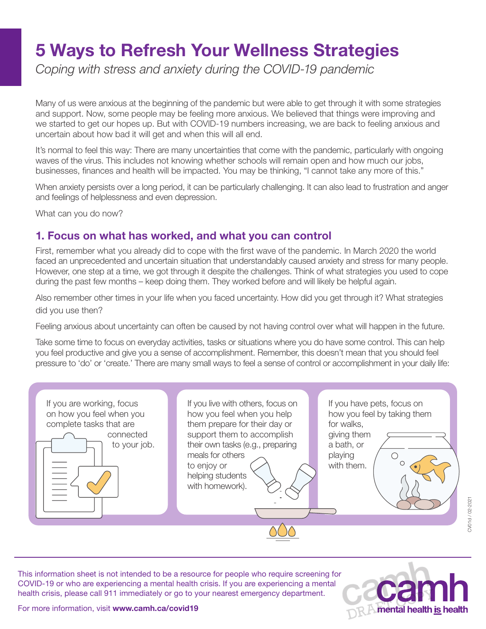# 5 Ways to Refresh Your Wellness Strategies

*Coping with stress and anxiety during the COVID-19 pandemic*

Many of us were anxious at the beginning of the pandemic but were able to get through it with some strategies and support. Now, some people may be feeling more anxious. We believed that things were improving and we started to get our hopes up. But with COVID-19 numbers increasing, we are back to feeling anxious and uncertain about how bad it will get and when this will all end.

It's normal to feel this way: There are many uncertainties that come with the pandemic, particularly with ongoing waves of the virus. This includes not knowing whether schools will remain open and how much our jobs, businesses, finances and health will be impacted. You may be thinking, "I cannot take any more of this."

When anxiety persists over a long period, it can be particularly challenging. It can also lead to frustration and anger and feelings of helplessness and even depression.

What can you do now?

### 1. Focus on what has worked, and what you can control

First, remember what you already did to cope with the first wave of the pandemic. In March 2020 the world faced an unprecedented and uncertain situation that understandably caused anxiety and stress for many people. However, one step at a time, we got through it despite the challenges. Think of what strategies you used to cope during the past few months – keep doing them. They worked before and will likely be helpful again.

Also remember other times in your life when you faced uncertainty. How did you get through it? What strategies did you use then?

Feeling anxious about uncertainty can often be caused by not having control over what will happen in the future.

Take some time to focus on everyday activities, tasks or situations where you do have some control. This can help you feel productive and give you a sense of accomplishment. Remember, this doesn't mean that you should feel pressure to 'do' or 'create.' There are many small ways to feel a sense of control or accomplishment in your daily life:

| <b>HILL</b><br>helping students<br>with homework). | If you are working, focus<br>on how you feel when you<br>complete tasks that are<br>connected<br>to your job. | If you live with others, focus on<br>how you feel when you help<br>them prepare for their day or<br>support them to accomplish<br>their own tasks (e.g., preparing<br>meals for others<br>to enjoy or | If you have pets, focus on<br>how you feel by taking them<br>for walks,<br>giving them<br>a bath, or<br>playing<br>with them. |
|----------------------------------------------------|---------------------------------------------------------------------------------------------------------------|-------------------------------------------------------------------------------------------------------------------------------------------------------------------------------------------------------|-------------------------------------------------------------------------------------------------------------------------------|
|----------------------------------------------------|---------------------------------------------------------------------------------------------------------------|-------------------------------------------------------------------------------------------------------------------------------------------------------------------------------------------------------|-------------------------------------------------------------------------------------------------------------------------------|

CV01d / 02-2021

CV01d / 02-202

This information sheet is not intended to be a resource for people who require screening for COVID-19 or who are experiencing a mental health crisis. If you are experiencing a mental health crisis, please call 911 immediately or go to your nearest emergency department.



For more information, visit [www.camh.ca/covid19](http://www.camh.ca/covid19)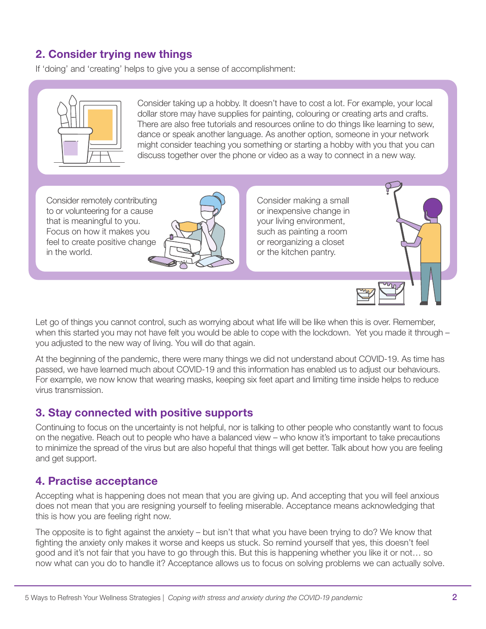## 2. Consider trying new things

If 'doing' and 'creating' helps to give you a sense of accomplishment:



Consider taking up a hobby. It doesn't have to cost a lot. For example, your local dollar store may have supplies for painting, colouring or creating arts and crafts. There are also free tutorials and resources online to do things like learning to sew, dance or speak another language. As another option, someone in your network might consider teaching you something or starting a hobby with you that you can discuss together over the phone or video as a way to connect in a new way.

Consider remotely contributing to or volunteering for a cause that is meaningful to you. Focus on how it makes you feel to create positive change in the world.



Consider making a small or inexpensive change in your living environment, such as painting a room or reorganizing a closet or the kitchen pantry.



Let go of things you cannot control, such as worrying about what life will be like when this is over. Remember, when this started you may not have felt you would be able to cope with the lockdown. Yet you made it through – you adjusted to the new way of living. You will do that again.

At the beginning of the pandemic, there were many things we did not understand about COVID-19. As time has passed, we have learned much about COVID-19 and this information has enabled us to adjust our behaviours. For example, we now know that wearing masks, keeping six feet apart and limiting time inside helps to reduce virus transmission.

### 3. Stay connected with positive supports

Continuing to focus on the uncertainty is not helpful, nor is talking to other people who constantly want to focus on the negative. Reach out to people who have a balanced view – who know it's important to take precautions to minimize the spread of the virus but are also hopeful that things will get better. Talk about how you are feeling and get support.

### 4. Practise acceptance

Accepting what is happening does not mean that you are giving up. And accepting that you will feel anxious does not mean that you are resigning yourself to feeling miserable. Acceptance means acknowledging that this is how you are feeling right now.

The opposite is to fight against the anxiety – but isn't that what you have been trying to do? We know that fighting the anxiety only makes it worse and keeps us stuck. So remind yourself that yes, this doesn't feel good and it's not fair that you have to go through this. But this is happening whether you like it or not… so now what can you do to handle it? Acceptance allows us to focus on solving problems we can actually solve.